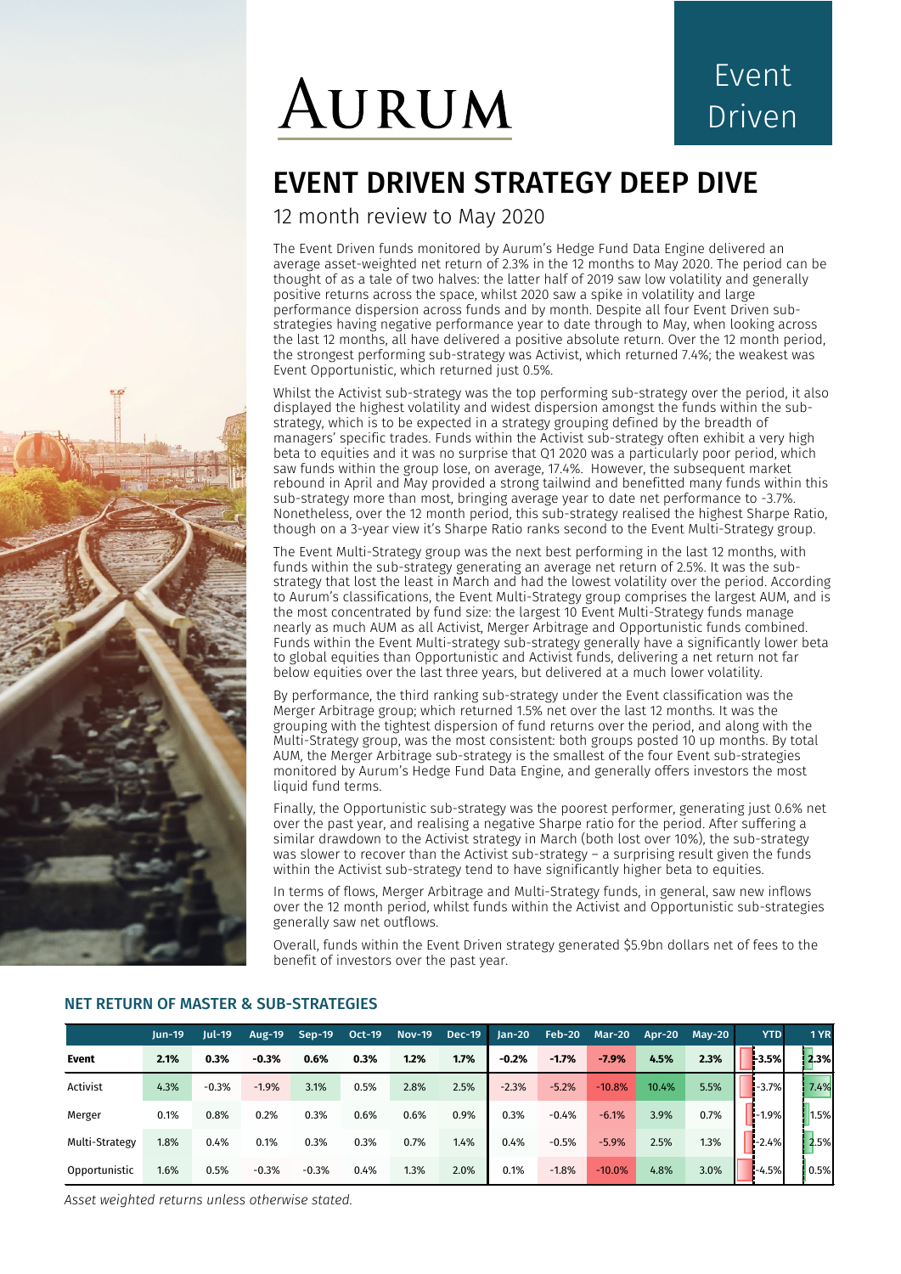# AURUM

## Event Driven

## EVENT DRIVEN STRATEGY DEEP DIVE

12 month review to May 2020

The Event Driven funds monitored by Aurum's Hedge Fund Data Engine delivered an average asset-weighted net return of 2.3% in the 12 months to May 2020. The period can be thought of as a tale of two halves: the latter half of 2019 saw low volatility and generally positive returns across the space, whilst 2020 saw a spike in volatility and large performance dispersion across funds and by month. Despite all four Event Driven substrategies having negative performance year to date through to May, when looking across the last 12 months, all have delivered a positive absolute return. Over the 12 month period, the strongest performing sub-strategy was Activist, which returned 7.4%; the weakest was Event Opportunistic, which returned just 0.5%.

Whilst the Activist sub-strategy was the top performing sub-strategy over the period, it also displayed the highest volatility and widest dispersion amongst the funds within the substrategy, which is to be expected in a strategy grouping defined by the breadth of managers' specific trades. Funds within the Activist sub-strategy often exhibit a very high beta to equities and it was no surprise that Q1 2020 was a particularly poor period, which saw funds within the group lose, on average, 17.4%. However, the subsequent market rebound in April and May provided a strong tailwind and benefitted many funds within this sub-strategy more than most, bringing average year to date net performance to -3.7%. Nonetheless, over the 12 month period, this sub-strategy realised the highest Sharpe Ratio, though on a 3-year view it's Sharpe Ratio ranks second to the Event Multi-Strategy group.

The Event Multi-Strategy group was the next best performing in the last 12 months, with funds within the sub-strategy generating an average net return of 2.5%. It was the substrategy that lost the least in March and had the lowest volatility over the period. According to Aurum's classifications, the Event Multi-Strategy group comprises the largest AUM, and is the most concentrated by fund size: the largest 10 Event Multi-Strategy funds manage nearly as much AUM as all Activist, Merger Arbitrage and Opportunistic funds combined. Funds within the Event Multi-strategy sub-strategy generally have a significantly lower beta to global equities than Opportunistic and Activist funds, delivering a net return not far below equities over the last three years, but delivered at a much lower volatility.

By performance, the third ranking sub-strategy under the Event classification was the Merger Arbitrage group; which returned 1.5% net over the last 12 months. It was the grouping with the tightest dispersion of fund returns over the period, and along with the Multi-Strategy group, was the most consistent: both groups posted 10 up months. By total AUM, the Merger Arbitrage sub-strategy is the smallest of the four Event sub-strategies monitored by Aurum's Hedge Fund Data Engine, and generally offers investors the most liquid fund terms.

Finally, the Opportunistic sub-strategy was the poorest performer, generating just 0.6% net over the past year, and realising a negative Sharpe ratio for the period. After suffering a similar drawdown to the Activist strategy in March (both lost over 10%), the sub-strategy was slower to recover than the Activist sub-strategy – a surprising result given the funds within the Activist sub-strategy tend to have significantly higher beta to equities.

In terms of flows, Merger Arbitrage and Multi-Strategy funds, in general, saw new inflows over the 12 month period, whilst funds within the Activist and Opportunistic sub-strategies generally saw net outflows.

Overall, funds within the Event Driven strategy generated \$5.9bn dollars net of fees to the benefit of investors over the past year.

|                | $lun-19$ | <b>Jul-19</b> | <b>Aug-19</b> | $Sep-19$ | <b>Oct-19</b> | <b>Nov-19</b> | <b>Dec-19</b> | $Jan-20$ | Feb-20  | <b>Mar-20</b> | Apr-20 | $May-20$ | <b>YTD</b> | 1 YR |
|----------------|----------|---------------|---------------|----------|---------------|---------------|---------------|----------|---------|---------------|--------|----------|------------|------|
| Event          | 2.1%     | 0.3%          | $-0.3%$       | 0.6%     | 0.3%          | 1.2%          | 1.7%          | $-0.2%$  | $-1.7%$ | $-7.9%$       | 4.5%   | 2.3%     | 3.5%       | 2.3% |
| Activist       | 4.3%     | $-0.3%$       | $-1.9%$       | 3.1%     | 0.5%          | 2.8%          | 2.5%          | $-2.3%$  | $-5.2%$ | $-10.8%$      | 10.4%  | 5.5%     | $-3.7%$    | 7.4% |
| Merger         | 0.1%     | 0.8%          | 0.2%          | 0.3%     | 0.6%          | 0.6%          | 0.9%          | 0.3%     | $-0.4%$ | $-6.1%$       | 3.9%   | 0.7%     | $-1.9%$    | 1.5% |
| Multi-Strategy | 1.8%     | 0.4%          | 0.1%          | 0.3%     | 0.3%          | 0.7%          | 1.4%          | 0.4%     | $-0.5%$ | $-5.9%$       | 2.5%   | 1.3%     | $-2.4%$    | 2.5% |
| Opportunistic  | 1.6%     | 0.5%          | $-0.3%$       | $-0.3%$  | 0.4%          | 1.3%          | 2.0%          | 0.1%     | $-1.8%$ | $-10.0%$      | 4.8%   | 3.0%     | $-4.5%$    | 0.5% |

#### NET RETURN OF MASTER & SUB-STRATEGIES

*Asset weighted returns unless otherwise stated.*

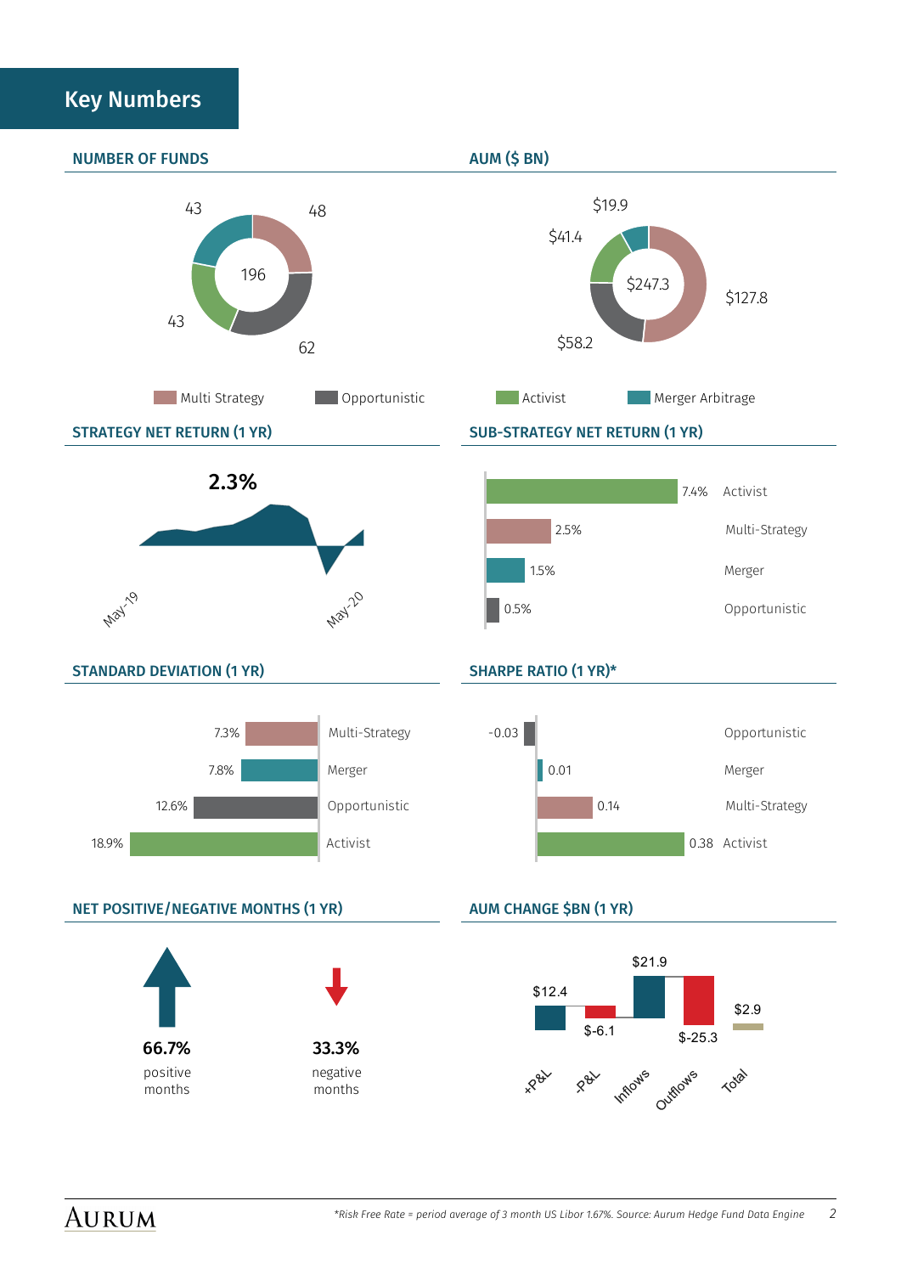## Key Numbers

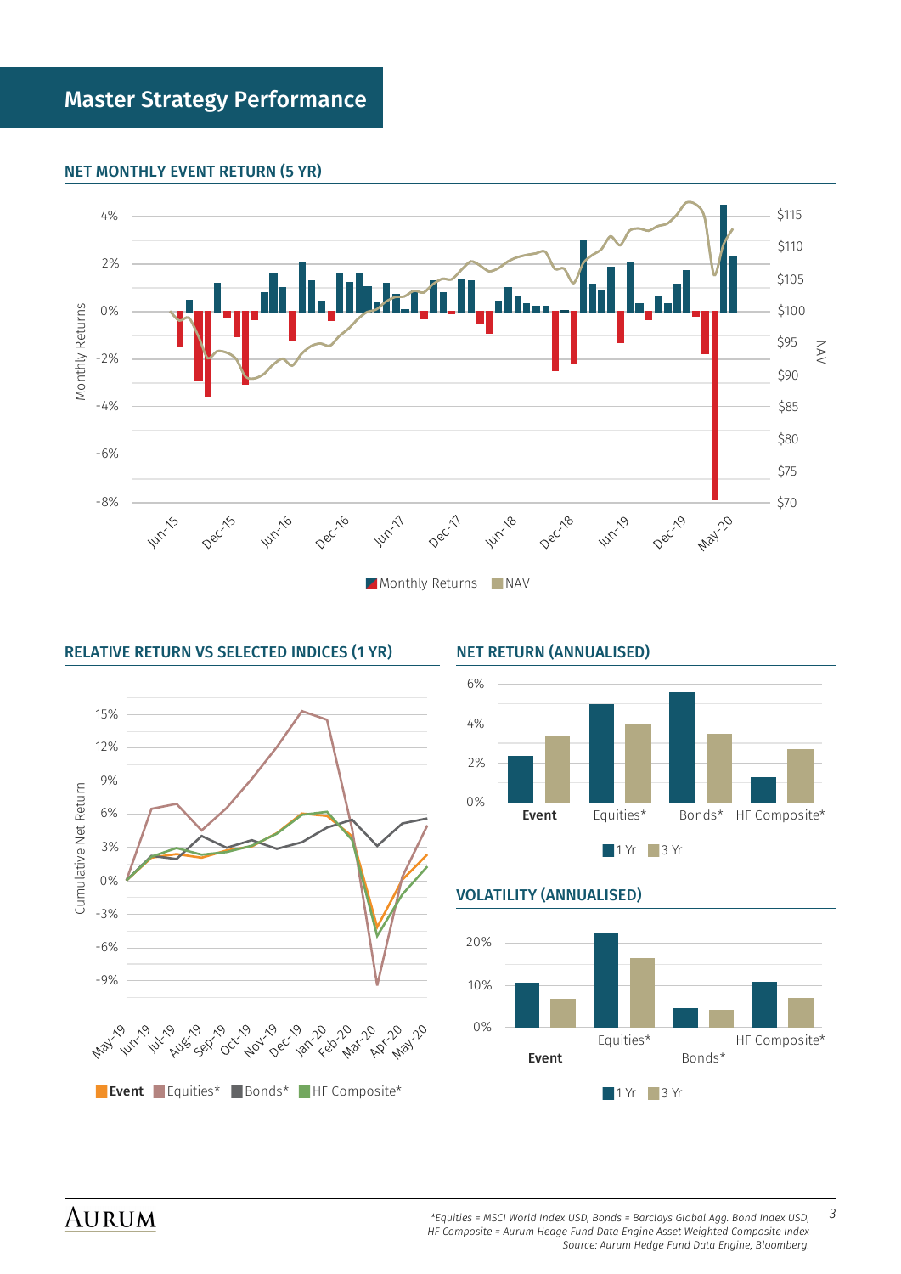#### NET MONTHLY EVENT RETURN (5 YR)



#### RELATIVE RETURN VS SELECTED INDICES (1 YR) NET RETURN (ANNUALISED)







#### VOLATILITY (ANNUALISED)

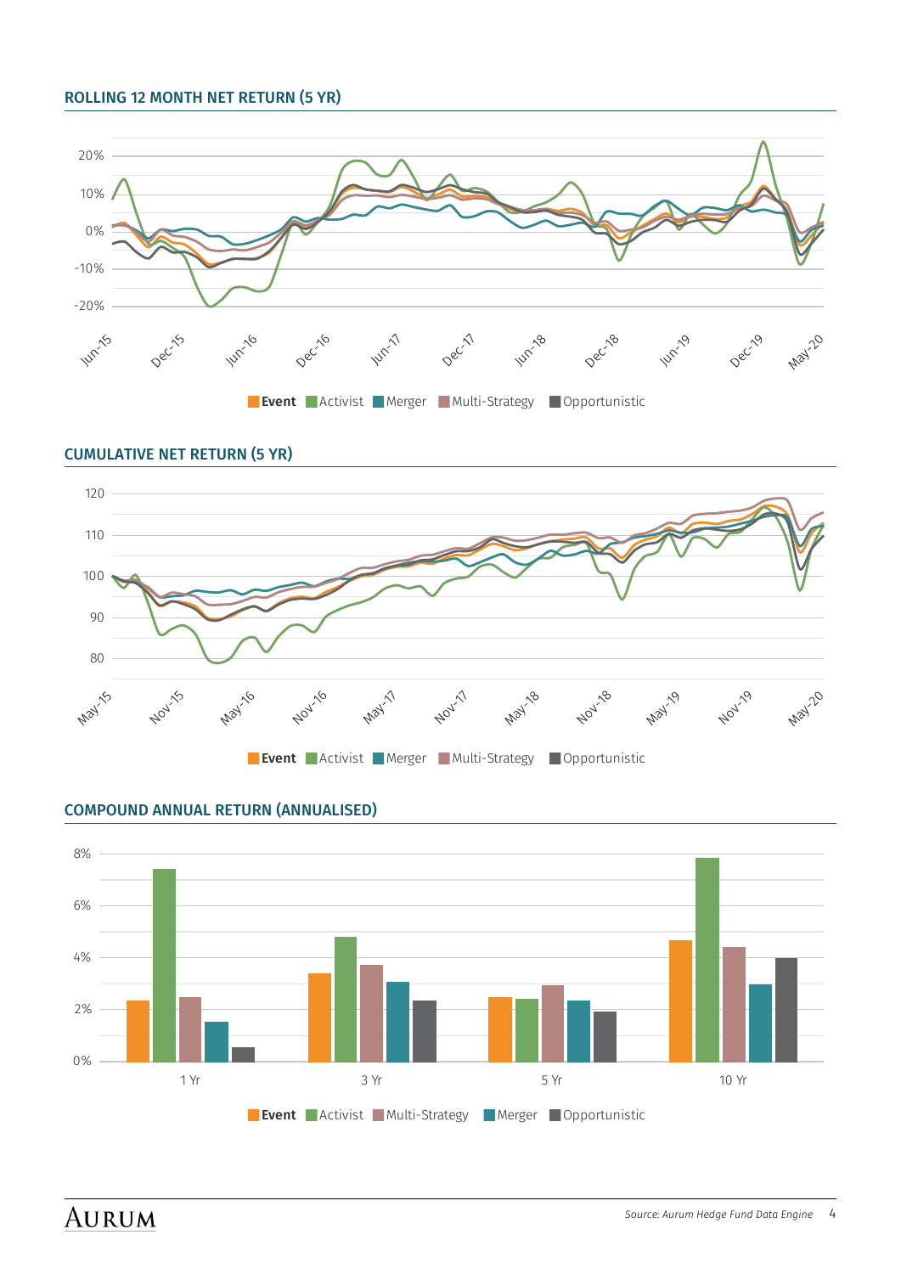#### ROLLING 12 MONTH NET RETURN (5 YR)





## COMPOUND ANNUAL RETURN (ANNUALISED)

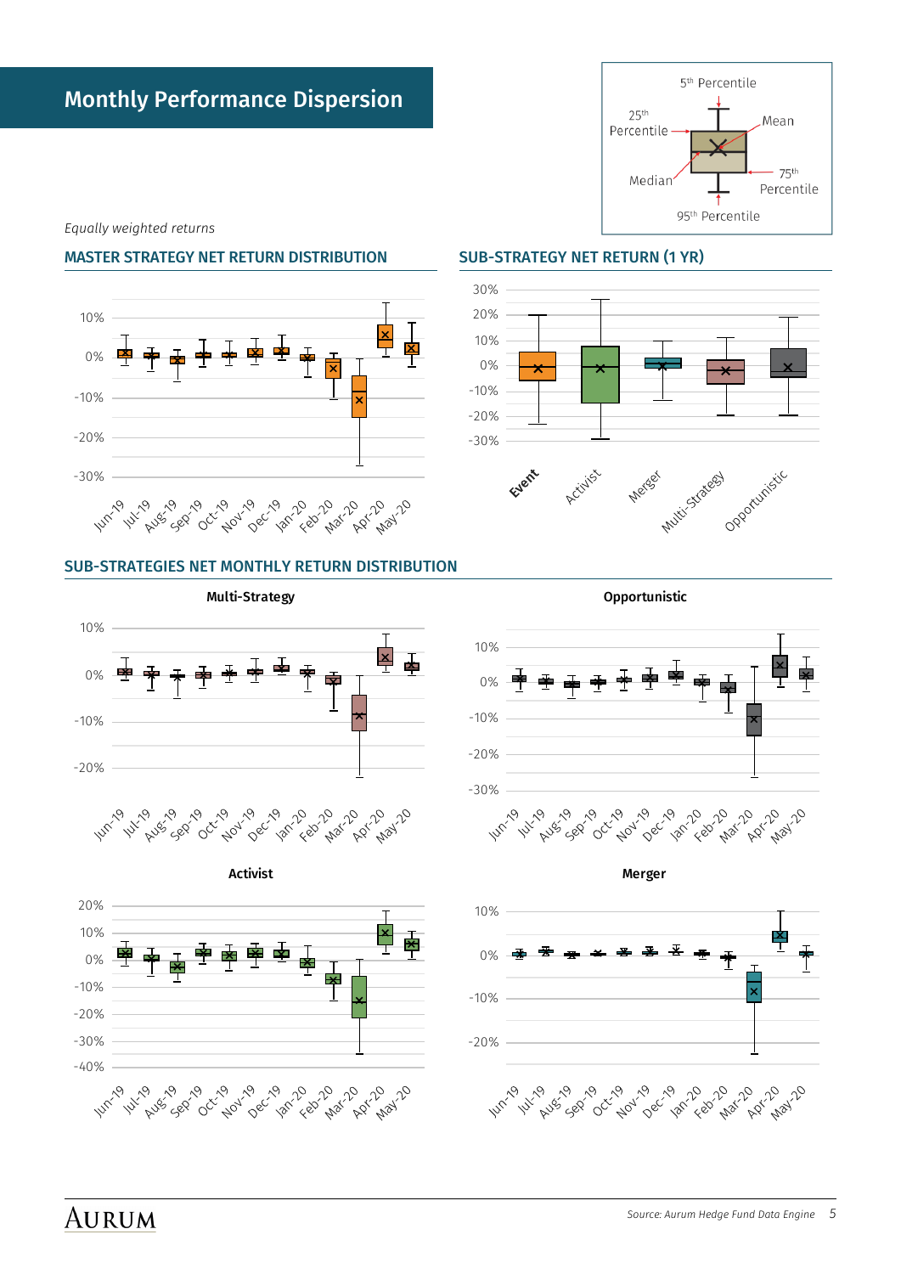-10%

0%

10%



 $\overline{\mathsf{x}}$  $\overline{\mathbf{r}}$  -30% -20% -10% 0% 10% 20% 30%

-20%

-10%

0%

10%

#### -30% Pugs 5g 10/11/10 TO 10 **Mar10** ADY 10 1201-20 **1999 00x1-20 ADV** 26 **Dec-18 WITTING 1** 12 19

### SUB-STRATEGIES NET MONTHLY RETURN DISTRIBUTION

Multi-Strategy



# Opportunistic Mutti-Statesy Event Activities Merest

## *Equally weighted returns*

### MASTER STRATEGY NET RETURN DISTRIBUTION SUB-STRATEGY NET RETURN (1 YR)



Opportunistic

 $\overline{\mathsf{x}}$ 

Monthly Performance Dispersion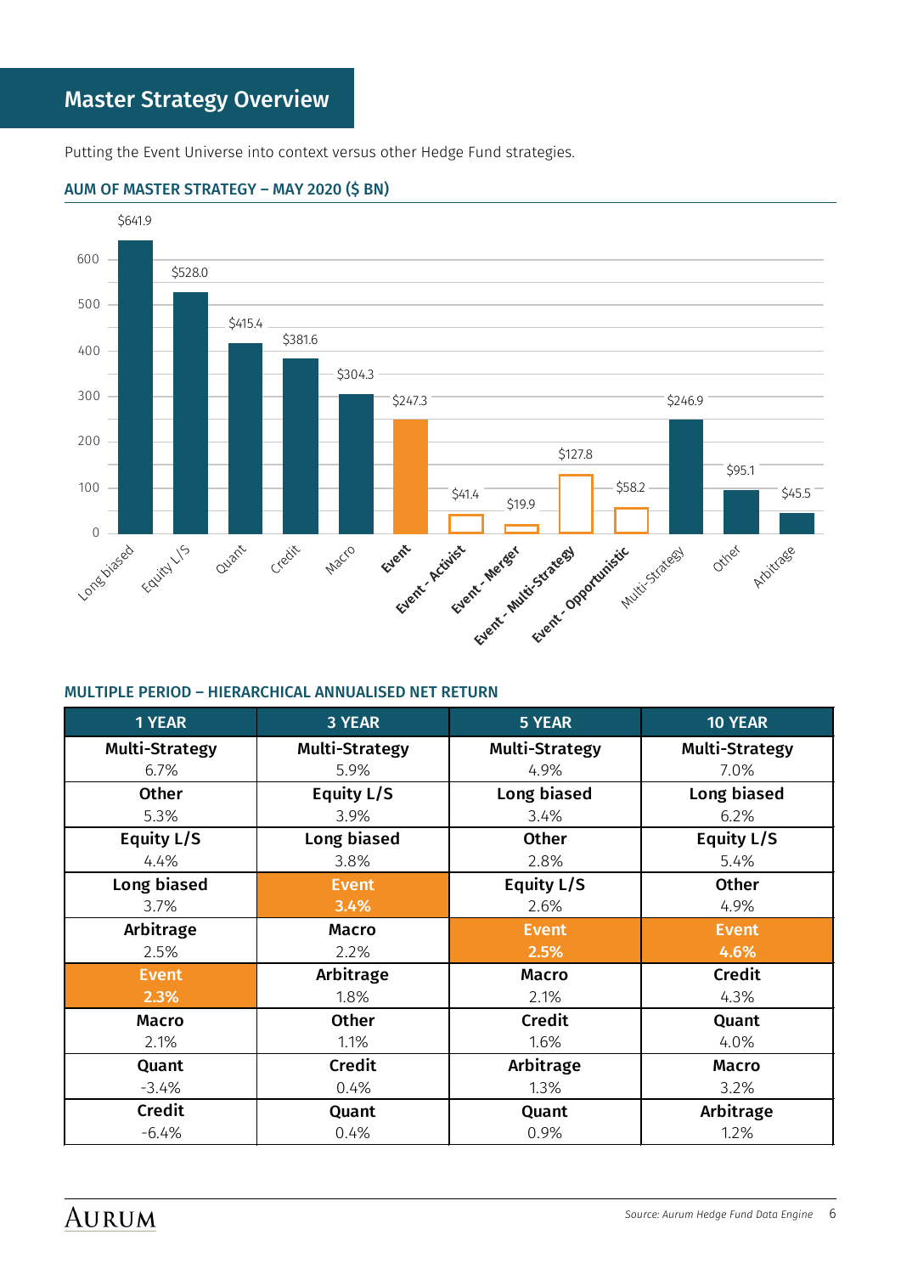Putting the Event Universe into context versus other Hedge Fund strategies.



#### AUM OF MASTER STRATEGY – MAY 2020 (\$ BN)

#### MULTIPLE PERIOD – HIERARCHICAL ANNUALISED NET RETURN

| <b>1 YEAR</b>         | <b>3 YEAR</b>         | 5 YEAR         | 10 YEAR               |
|-----------------------|-----------------------|----------------|-----------------------|
| <b>Multi-Strategy</b> | <b>Multi-Strategy</b> | Multi-Strategy | <b>Multi-Strategy</b> |
| 6.7%                  | 5.9%                  | 4.9%           | 7.0%                  |
| <b>Other</b>          | Equity L/S            | Long biased    | Long biased           |
| 5.3%                  | 3.9%                  | 3.4%           | 6.2%                  |
| Equity L/S            | Long biased           | <b>Other</b>   | Equity L/S            |
| 4.4%                  | 3.8%                  | 2.8%           | 5.4%                  |
| Long biased           | <b>Event</b>          | Equity L/S     | <b>Other</b>          |
| 3.7%                  | 3.4%                  | 2.6%           | 4.9%                  |
| Arbitrage             | <b>Macro</b>          | <b>Event</b>   | <b>Event</b>          |
| 2.5%                  | 2.2%                  | 2.5%           | 4.6%                  |
| <b>Event</b>          | Arbitrage             | <b>Macro</b>   | <b>Credit</b>         |
| 2.3%                  | 1.8%                  | 2.1%           | 4.3%                  |
| <b>Macro</b>          | Other                 | <b>Credit</b>  | Quant                 |
| 2.1%                  | 1.1%                  | 1.6%           | 4.0%                  |
| Quant                 | <b>Credit</b>         | Arbitrage      | <b>Macro</b>          |
| $-3.4%$               | 0.4%                  | 1.3%           | 3.2%                  |
| <b>Credit</b>         | Quant                 | Quant          | Arbitrage             |
| $-6.4%$               | 0.4%                  | 0.9%           | 1.2%                  |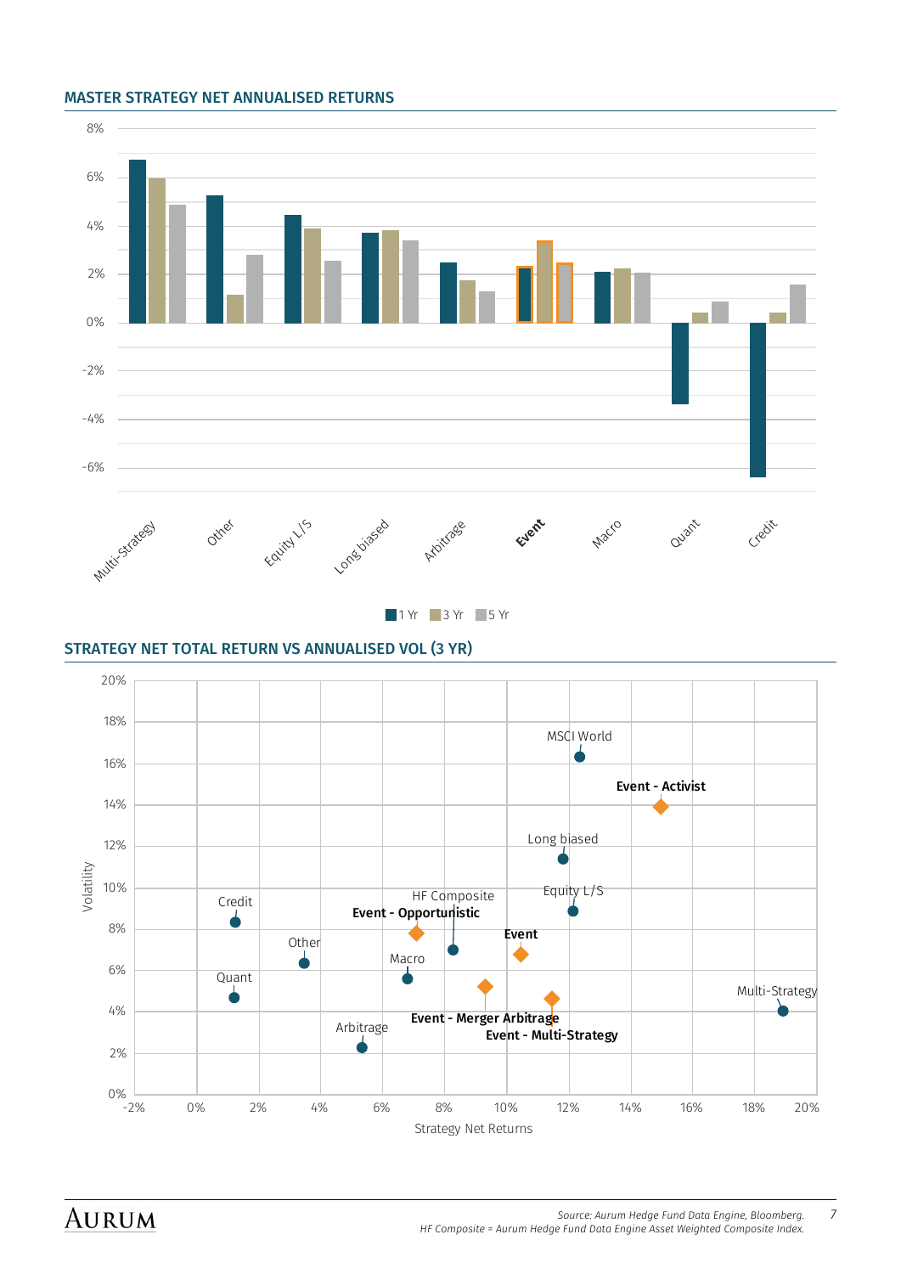#### MASTER STRATEGY NET ANNUALISED RETURNS



1 Yr 3 Yr 5 Yr

#### STRATEGY NET TOTAL RETURN VS ANNUALISED VOL (3 YR)

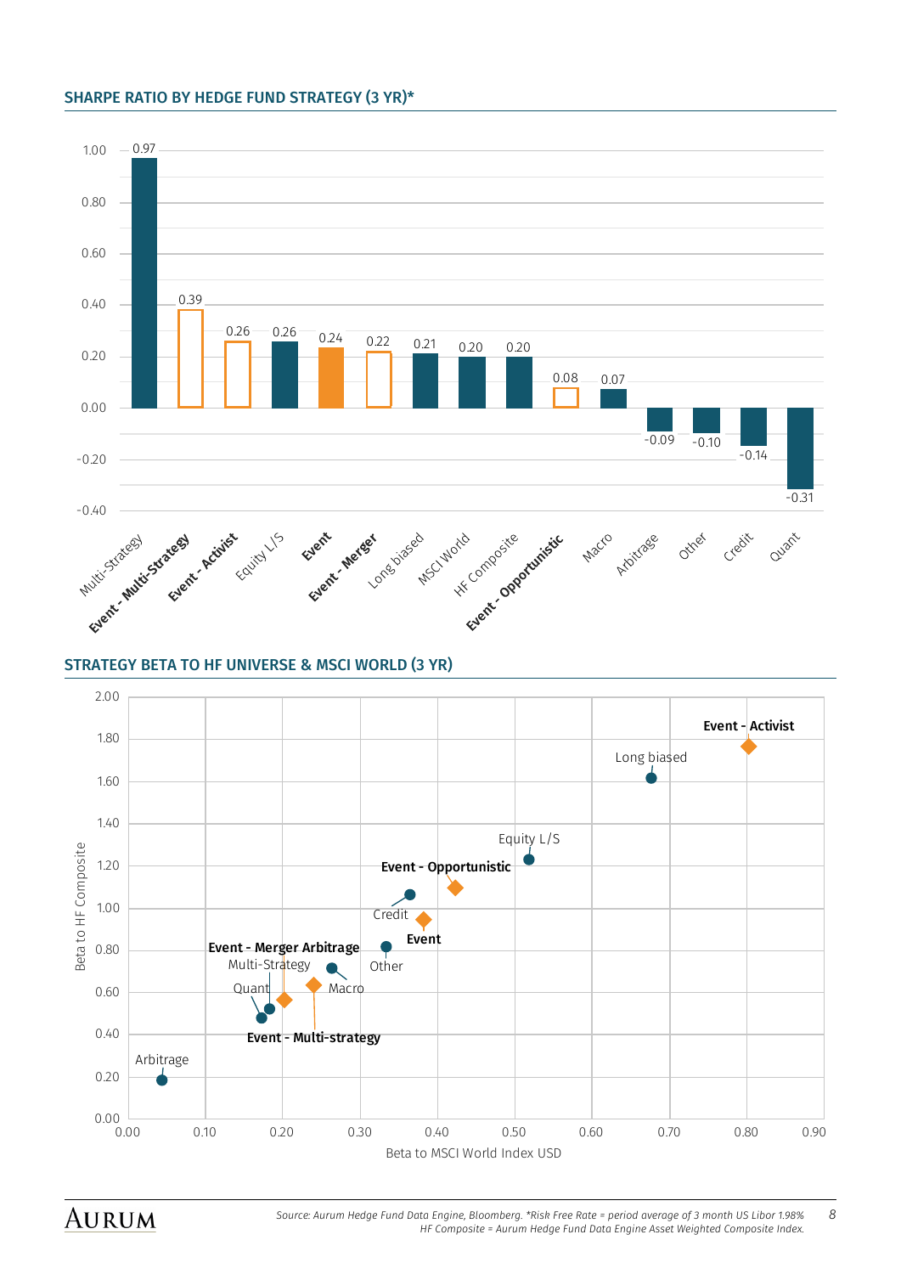#### SHARPE RATIO BY HEDGE FUND STRATEGY (3 YR)\*





**AURUM** 

*Source: Aurum Hedge Fund Data Engine, Bloomberg. \*Risk Free Rate = period average of 3 month US Libor 1.98% 8 HF Composite = Aurum Hedge Fund Data Engine Asset Weighted Composite Index.*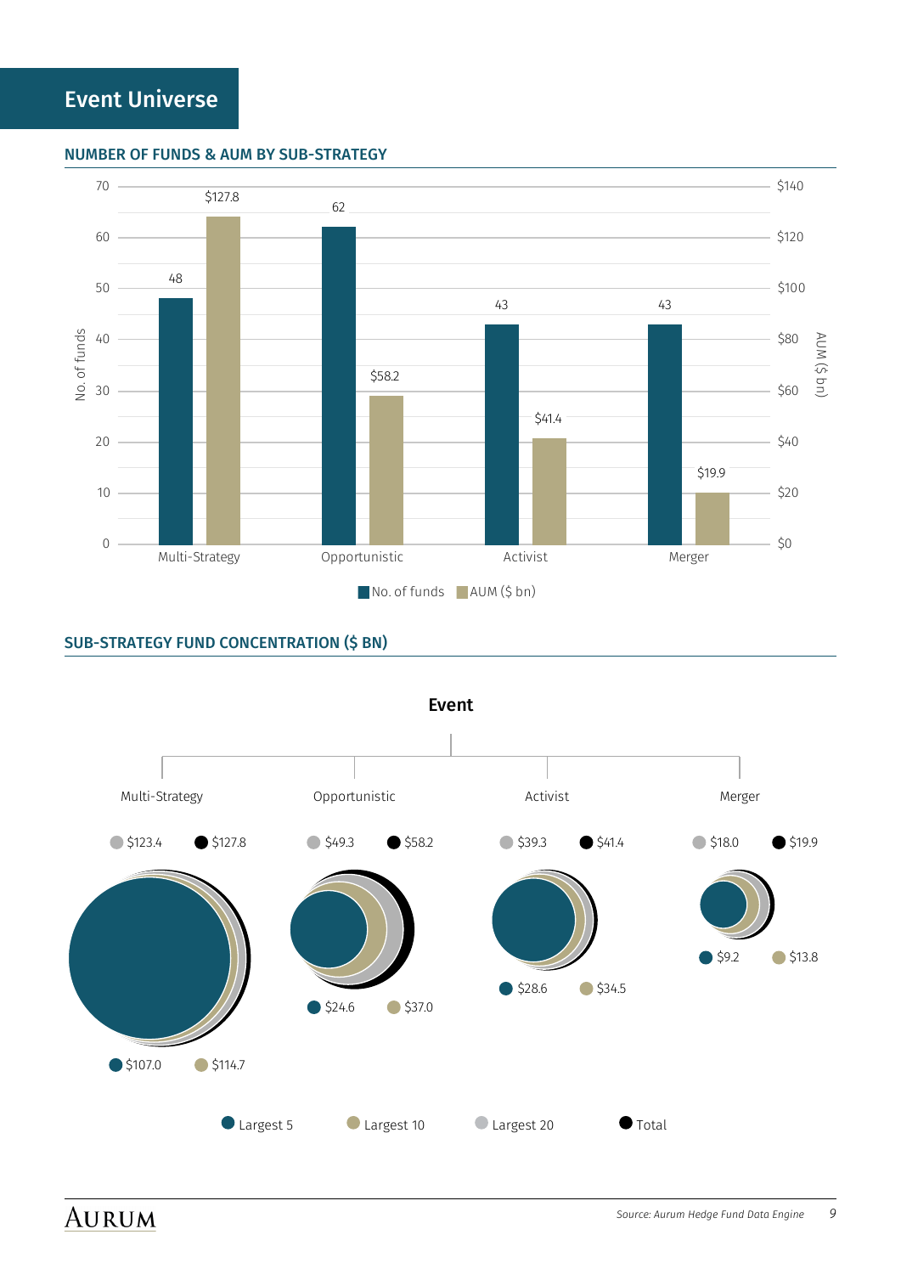#### NUMBER OF FUNDS & AUM BY SUB-STRATEGY



#### SUB-STRATEGY FUND CONCENTRATION (\$ BN)

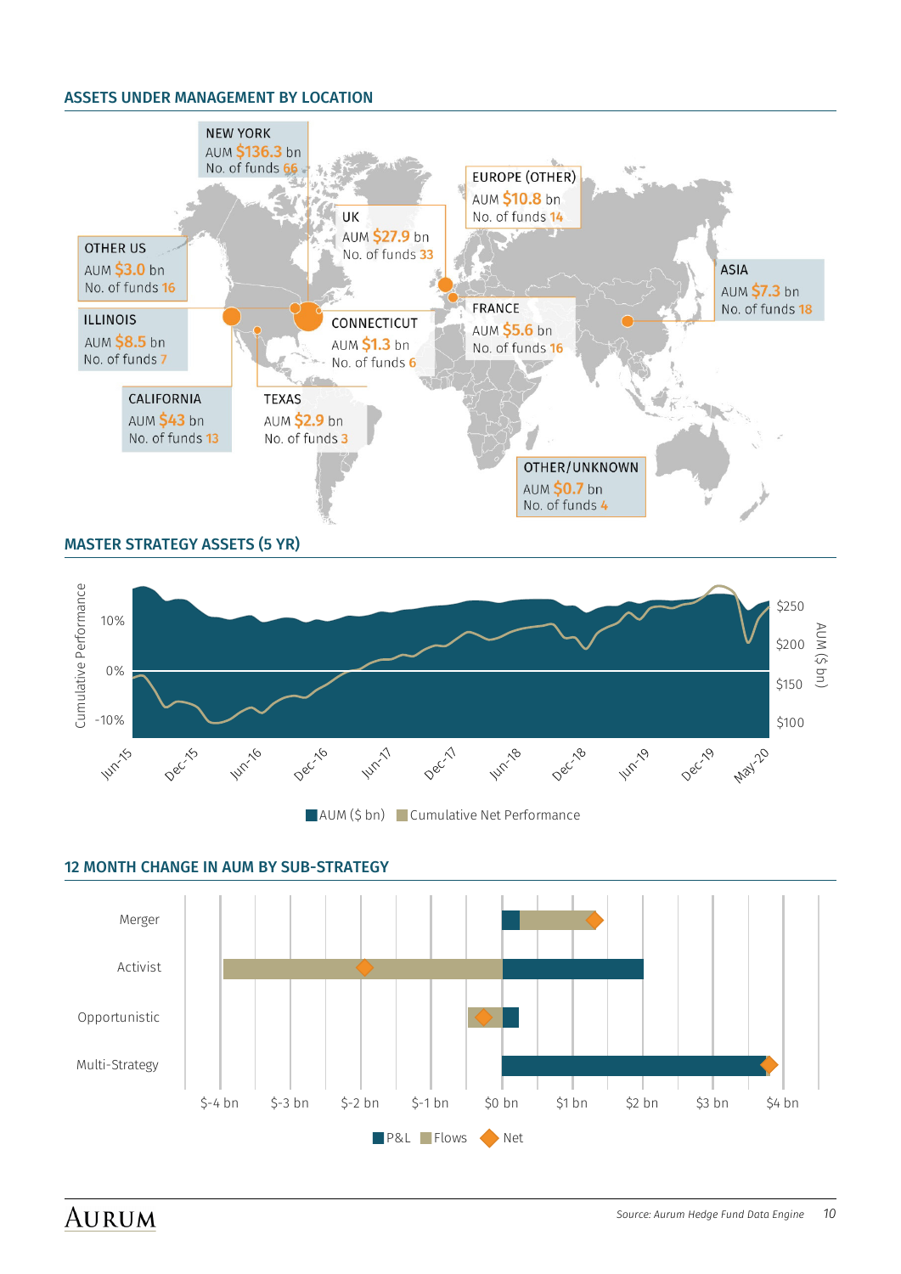#### ASSETS UNDER MANAGEMENT BY LOCATION



#### MASTER STRATEGY ASSETS (5 YR)





#### 12 MONTH CHANGE IN AUM BY SUB-STRATEGY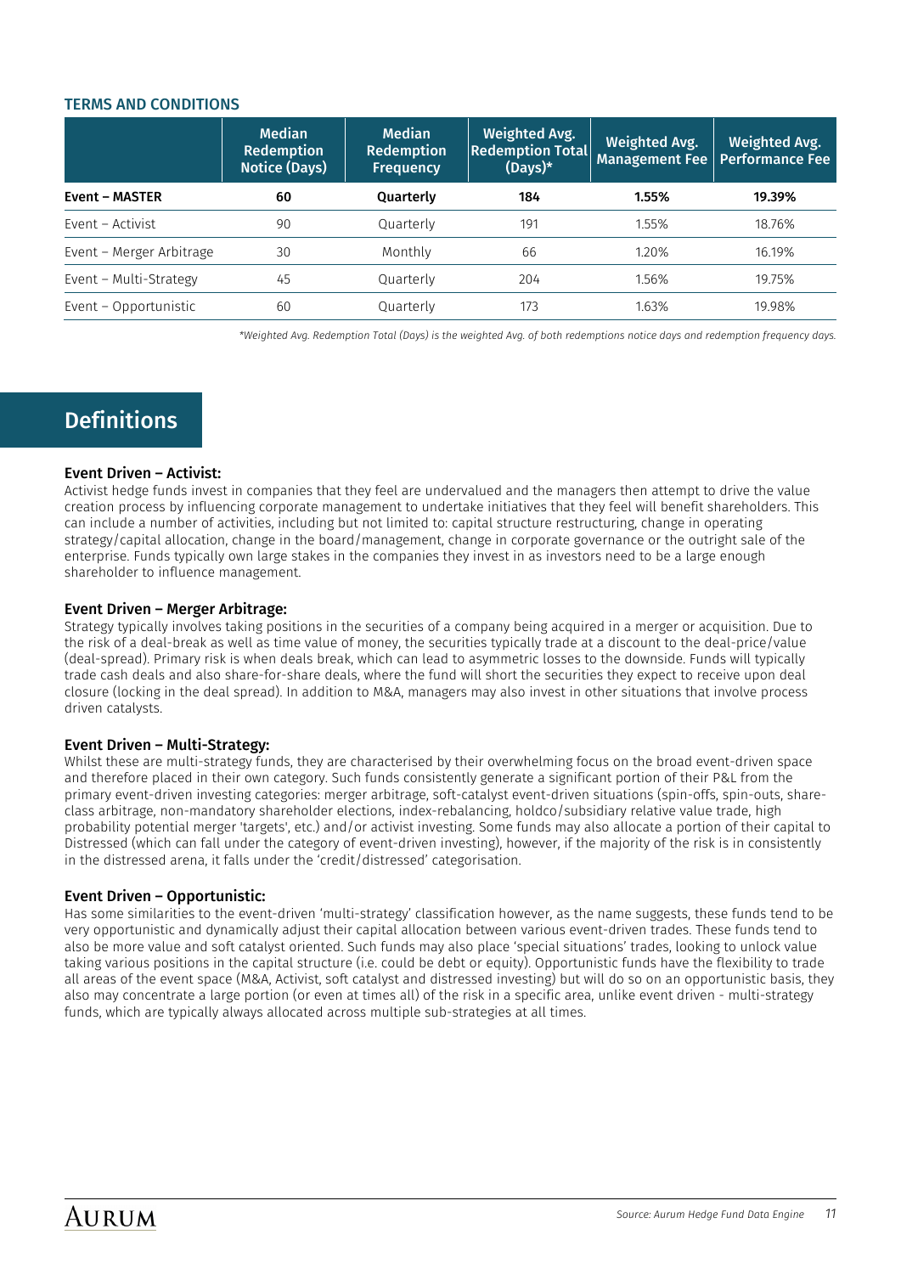#### TERMS AND CONDITIONS

|                          | <b>Median</b><br>Redemption<br><b>Notice (Days)</b> | Median<br>Redemption<br><b>Frequency</b> | <b>Weighted Avg.</b><br><b>Redemption Total</b><br>$(Days)*$ | Weighted Avg.<br>Management Fee   Performance Fee | <b>Weighted Avg.</b> |
|--------------------------|-----------------------------------------------------|------------------------------------------|--------------------------------------------------------------|---------------------------------------------------|----------------------|
| <b>Event - MASTER</b>    | 60                                                  | Quarterly                                | 184                                                          | 1.55%                                             | 19.39%               |
| Event - Activist         | 90                                                  | Quarterly                                | 191                                                          | 1.55%                                             | 18.76%               |
| Event – Merger Arbitrage | 30                                                  | Monthly                                  | 66                                                           | 1.20%                                             | 16.19%               |
| Event - Multi-Strategy   | 45                                                  | Quarterly                                | 204                                                          | 1.56%                                             | 19.75%               |
| Event - Opportunistic    | 60                                                  | Quarterly                                | 173                                                          | 1.63%                                             | 19.98%               |

*\*Weighted Avg. Redemption Total (Days) is the weighted Avg. of both redemptions notice days and redemption frequency days.*

## **Definitions**

#### Event Driven – Activist:

Activist hedge funds invest in companies that they feel are undervalued and the managers then attempt to drive the value creation process by influencing corporate management to undertake initiatives that they feel will benefit shareholders. This can include a number of activities, including but not limited to: capital structure restructuring, change in operating strategy/capital allocation, change in the board/management, change in corporate governance or the outright sale of the enterprise. Funds typically own large stakes in the companies they invest in as investors need to be a large enough shareholder to influence management.

#### Event Driven – Merger Arbitrage:

Strategy typically involves taking positions in the securities of a company being acquired in a merger or acquisition. Due to the risk of a deal-break as well as time value of money, the securities typically trade at a discount to the deal-price/value (deal-spread). Primary risk is when deals break, which can lead to asymmetric losses to the downside. Funds will typically trade cash deals and also share-for-share deals, where the fund will short the securities they expect to receive upon deal closure (locking in the deal spread). In addition to M&A, managers may also invest in other situations that involve process driven catalysts.

#### Event Driven – Multi-Strategy:

Whilst these are multi-strategy funds, they are characterised by their overwhelming focus on the broad event-driven space and therefore placed in their own category. Such funds consistently generate a significant portion of their P&L from the primary event-driven investing categories: merger arbitrage, soft-catalyst event-driven situations (spin-offs, spin-outs, shareclass arbitrage, non-mandatory shareholder elections, index-rebalancing, holdco/subsidiary relative value trade, high probability potential merger 'targets', etc.) and/or activist investing. Some funds may also allocate a portion of their capital to Distressed (which can fall under the category of event-driven investing), however, if the majority of the risk is in consistently in the distressed arena, it falls under the 'credit/distressed' categorisation.

#### Event Driven – Opportunistic:

Has some similarities to the event-driven 'multi-strategy' classification however, as the name suggests, these funds tend to be very opportunistic and dynamically adjust their capital allocation between various event-driven trades. These funds tend to also be more value and soft catalyst oriented. Such funds may also place 'special situations' trades, looking to unlock value taking various positions in the capital structure (i.e. could be debt or equity). Opportunistic funds have the flexibility to trade all areas of the event space (M&A, Activist, soft catalyst and distressed investing) but will do so on an opportunistic basis, they also may concentrate a large portion (or even at times all) of the risk in a specific area, unlike event driven - multi-strategy funds, which are typically always allocated across multiple sub-strategies at all times.